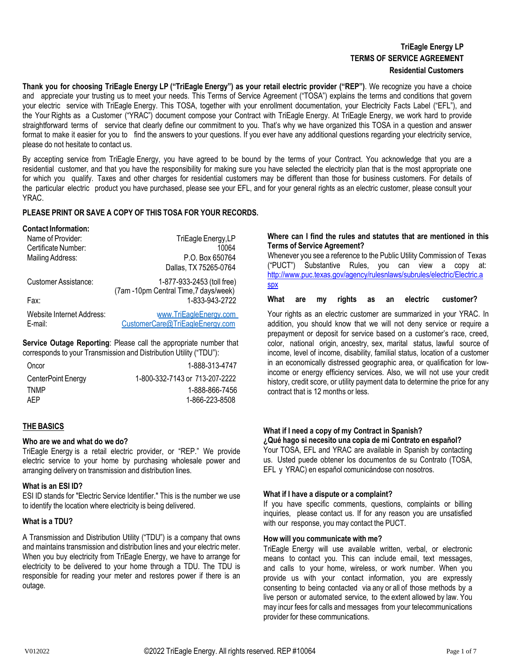# **TriEagle Energy LP TERMS OF SERVICE AGREEMENT Residential Customers**

Thank you for choosing TriEagle Energy LP ("TriEagle Energy") as your retail electric provider ("REP"). We recognize you have a choice and appreciate your trusting us to meet your needs. This Terms of Service Agreement ("TOSA") explains the terms and conditions that govern your electric service with TriEagle Energy. This TOSA, together with your enrollment documentation, your Electricity Facts Label ("EFL"), and the Your Rights as a Customer ("YRAC") document compose your Contract with TriEagle Energy. At TriEagle Energy, we work hard to provide straightforward terms of service that clearly define our commitment to you. That's why we have organized this TOSA in a question and answer format to make it easier for you to find the answers to your questions. If you ever have any additional questions regarding your electricity service, please do not hesitate to contact us.

By accepting service from TriEagle Energy, you have agreed to be bound by the terms of your Contract. You acknowledge that you are a residential customer, and that you have the responsibility for making sure you have selected the electricity plan that is the most appropriate one for which you qualify. Taxes and other charges for residential customers may be different than those for business customers. For details of the particular electric product you have purchased, please see your EFL, and for your general rights as an electric customer, please consult your YRAC.

# **PLEASE PRINT OR SAVE A COPY OF THIS TOSA FOR YOUR RECORDS.**

#### **Contact Information:**

| Name of Provider:         | TriEagle Energy, LP                                                 |
|---------------------------|---------------------------------------------------------------------|
| Certificate Number:       | 10064                                                               |
| Mailing Address:          | P.O. Box 650764                                                     |
|                           | Dallas, TX 75265-0764                                               |
| Customer Assistance:      | 1-877-933-2453 (toll free)<br>(7am -10pm Central Time, 7 days/week) |
| Fax:                      | 1-833-943-2722                                                      |
| Website Internet Address: | www.TriEagleEnergy.com                                              |
| E-mail:                   | CustomerCare@TriEagleEnergy.com                                     |

**Service Outage Reporting**: Please call the appropriate number that corresponds to your Transmission and Distribution Utility ("TDU"):

| Oncor              | 1-888-313-4747                 |
|--------------------|--------------------------------|
| CenterPoint Energy | 1-800-332-7143 or 713-207-2222 |
| TNMP               | 1-888-866-7456                 |
| AFP                | 1-866-223-8508                 |

#### **THE BASICS**

#### **Who are we and what do we do?**

TriEagle Energy is a retail electric provider, or "REP." We provide electric service to your home by purchasing wholesale power and arranging delivery on transmission and distribution lines.

#### **What is an ESI ID?**

ESI ID stands for "Electric Service Identifier." This is the number we use to identify the location where electricity is being delivered.

### **What is a TDU?**

A Transmission and Distribution Utility ("TDU") is a company that owns and maintains transmission and distribution lines and your electric meter. When you buy electricity from TriEagle Energy, we have to arrange for electricity to be delivered to your home through a TDU. The TDU is responsible for reading your meter and restores power if there is an outage.

### **Where can I find the rules and statutes that are mentioned in this Terms of Service Agreement?**

Whenever you see a reference to the Public Utility Commission of Texas ("PUCT") Substantive Rules, you can view a copy at: [http://www.puc.texas.gov/agency/rulesnlaws/subrules/electric/Electric.a](http://www.puc.texas.gov/agency/rulesnlaws/subrules/electric/Electric.aspx) [spx](http://www.puc.texas.gov/agency/rulesnlaws/subrules/electric/Electric.aspx)

**What are my rights as an electric customer?**

Your rights as an electric customer are summarized in your YRAC. In addition, you should know that we will not deny service or require a prepayment or deposit for service based on a customer's race, creed, color, national origin, ancestry, sex, marital status, lawful source of income, level of income, disability, familial status, location of a customer in an economically distressed geographic area, or qualification for lowincome or energy efficiency services. Also, we will not use your credit history, credit score, or utility payment data to determine the price for any contract that is 12 months or less.

#### **What if I need a copy of my Contract in Spanish?**

**¿Qué hago si necesito una copia de mi Contrato en español?** Your TOSA, EFL and YRAC are available in Spanish by contacting us. Usted puede obtener los documentos de su Contrato (TOSA, EFL y YRAC) en español comunicándose con nosotros.

#### **What if I have a dispute or a complaint?**

If you have specific comments, questions, complaints or billing inquiries, please contact us. If for any reason you are unsatisfied with our response, you may contact the PUCT.

### **How will you communicate with me?**

TriEagle Energy will use available written, verbal, or electronic means to contact you. This can include email, text messages, and calls to your home, wireless, or work number. When you provide us with your contact information, you are expressly consenting to being contacted via any or all of those methods by a live person or automated service, to the extent allowed by law. You may incur fees for calls and messages from your telecommunications provider for these communications.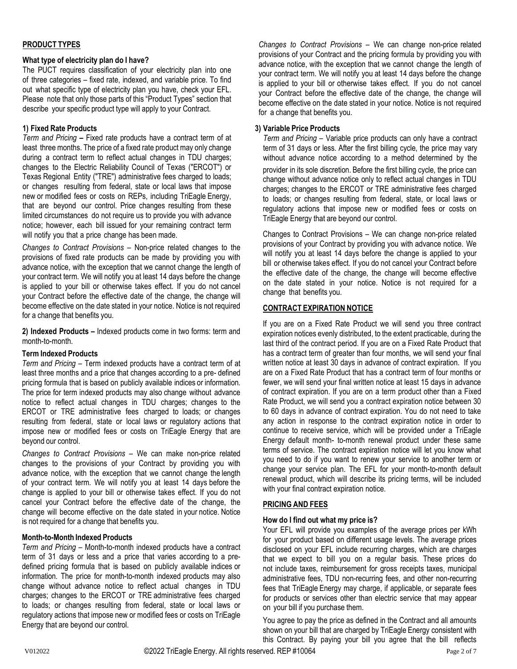# **PRODUCT TYPES**

# **What type of electricity plan do I have?**

The PUCT requires classification of your electricity plan into one of three categories – fixed rate, indexed, and variable price. To find out what specific type of electricity plan you have, check your EFL. Please note that only those parts of this "Product Types" section that describe your specific product type will apply to your Contract.

# **1) Fixed Rate Products**

*Term and Pricing* **–** Fixed rate products have a contract term of at least three months. The price of a fixed rate product may only change during a contract term to reflect actual changes in TDU charges; changes to the Electric Reliability Council of Texas ("ERCOT") or Texas Regional Entity ("TRE") administrative fees charged to loads; or changes resulting from federal, state or local laws that impose new or modified fees or costs on REPs, including TriEagle Energy, that are beyond our control. Price changes resulting from these limited circumstances do not require us to provide you with advance notice; however, each bill issued for your remaining contract term will notify you that a price change has been made.

*Changes to Contract Provisions* – Non-price related changes to the provisions of fixed rate products can be made by providing you with advance notice, with the exception that we cannot change the length of your contract term. We will notify you at least 14 days before the change is applied to your bill or otherwise takes effect. If you do not cancel your Contract before the effective date of the change, the change will become effective on the date stated in your notice. Notice is not required for a change that benefits you.

**2) Indexed Products –** Indexed products come in two forms: term and month-to-month.

# **Term Indexed Products**

*Term and Pricing* – Term indexed products have a contract term of at least three months and a price that changes according to a pre- defined pricing formula that is based on publicly available indices or information. The price for term indexed products may also change without advance notice to reflect actual changes in TDU charges; changes to the ERCOT or TRE administrative fees charged to loads; or changes resulting from federal, state or local laws or regulatory actions that impose new or modified fees or costs on TriEagle Energy that are beyond our control.

*Changes to Contract Provisions* – We can make non-price related changes to the provisions of your Contract by providing you with advance notice, with the exception that we cannot change the length of your contract term. We will notify you at least 14 days before the change is applied to your bill or otherwise takes effect. If you do not cancel your Contract before the effective date of the change, the change will become effective on the date stated in your notice. Notice is not required for a change that benefits you.

# **Month-to-Month Indexed Products**

*Term and Pricing –* Month-to-month indexed products have a contract term of 31 days or less and a price that varies according to a predefined pricing formula that is based on publicly available indices or information. The price for month-to-month indexed products may also change without advance notice to reflect actual changes in TDU charges; changes to the ERCOT or TRE administrative fees charged to loads; or changes resulting from federal, state or local laws or regulatory actions that impose new or modified fees or costs on TriEagle Energy that are beyond our control.

*Changes to Contract Provisions –* We can change non-price related provisions of your Contract and the pricing formula by providing you with advance notice, with the exception that we cannot change the length of your contract term. We will notify you at least 14 days before the change is applied to your bill or otherwise takes effect. If you do not cancel your Contract before the effective date of the change, the change will become effective on the date stated in your notice. Notice is not required for a change that benefits you.

# **3) Variable Price Products**

*Term and Pricing* – Variable price products can only have a contract term of 31 days or less. After the first billing cycle, the price may vary without advance notice according to a method determined by the provider in its sole discretion. Before the first billing cycle, the price can change without advance notice only to reflect actual changes in TDU charges; changes to the ERCOT or TRE administrative fees charged to loads; or changes resulting from federal, state, or local laws or regulatory actions that impose new or modified fees or costs on TriEagle Energy that are beyond our control.

Changes to Contract Provisions – We can change non-price related provisions of your Contract by providing you with advance notice. We will notify you at least 14 days before the change is applied to your bill or otherwise takes effect. If you do not cancel your Contract before the effective date of the change, the change will become effective on the date stated in your notice. Notice is not required for a change that benefits you.

# **CONTRACT EXPIRATION NOTICE**

If you are on a Fixed Rate Product we will send you three contract expiration notices evenly distributed, to the extent practicable, during the last third of the contract period. If you are on a Fixed Rate Product that has a contract term of greater than four months, we will send your final written notice at least 30 days in advance of contract expiration. If you are on a Fixed Rate Product that has a contract term of four months or fewer, we will send your final written notice at least 15 days in advance of contract expiration. If you are on a term product other than a Fixed Rate Product, we will send you a contract expiration notice between 30 to 60 days in advance of contract expiration. You do not need to take any action in response to the contract expiration notice in order to continue to receive service, which will be provided under a TriEagle Energy default month- to-month renewal product under these same terms of service. The contract expiration notice will let you know what you need to do if you want to renew your service to another term or change your service plan. The EFL for your month-to-month default renewal product, which will describe its pricing terms, will be included with your final contract expiration notice.

# **PRICING AND FEES**

# **How do I find out what my price is?**

Your EFL will provide you examples of the average prices per kWh for your product based on different usage levels. The average prices disclosed on your EFL include recurring charges, which are charges that we expect to bill you on a regular basis. These prices do not include taxes, reimbursement for gross receipts taxes, municipal administrative fees, TDU non-recurring fees, and other non-recurring fees that TriEagle Energy may charge, if applicable, or separate fees for products or services other than electric service that may appear on your bill if you purchase them.

You agree to pay the price as defined in the Contract and all amounts shown on your bill that are charged by TriEagle Energy consistent with this Contract. By paying your bill you agree that the bill reflects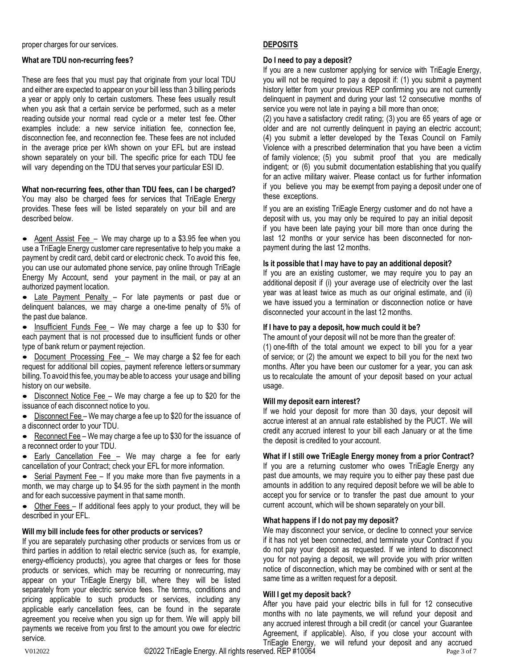proper charges for our services.

# **What are TDU non-recurring fees?**

These are fees that you must pay that originate from your local TDU and either are expected to appear on your bill less than 3 billing periods a year or apply only to certain customers. These fees usually result when you ask that a certain service be performed, such as a meter reading outside your normal read cycle or a meter test fee. Other examples include: a new service initiation fee, connection fee, disconnection fee, and reconnection fee. These fees are not included in the average price per kWh shown on your EFL but are instead shown separately on your bill. The specific price for each TDU fee will vary depending on the TDU that serves your particular ESI ID.

### **What non-recurring fees, other than TDU fees, can I be charged?**

You may also be charged fees for services that TriEagle Energy provides. These fees will be listed separately on your bill and are described below.

• Agent Assist Fee – We may charge up to a \$3.95 fee when you use a TriEagle Energy customer care representative to help you make a payment by credit card, debit card or electronic check. To avoid this fee, you can use our automated phone service, pay online through TriEagle Energy My Account, send your payment in the mail, or pay at an authorized payment location.

• Late Payment Penalty - For late payments or past due or delinquent balances, we may charge a one-time penalty of 5% of the past due balance.

• Insufficient Funds Fee – We may charge a fee up to \$30 for each payment that is not processed due to insufficient funds or other type of bank return or payment rejection.

• Document Processing Fee - We may charge a \$2 fee for each request for additional bill copies, payment reference letters or summary billing. To avoid this fee, youmay be able to access your usage and billing history on our website.

• Disconnect Notice Fee – We may charge a fee up to \$20 for the issuance of each disconnect notice to you.

• Disconnect Fee – We may charge a fee up to \$20 for the issuance of a disconnect order to your TDU.

Reconnect Fee - We may charge a fee up to \$30 for the issuance of a reconnect order to your TDU.

• Early Cancellation Fee – We may charge a fee for early cancellation of your Contract; check your EFL for more information.

Serial Payment Fee - If you make more than five payments in a month, we may charge up to \$4.95 for the sixth payment in the month and for each successive payment in that same month.

• Other Fees – If additional fees apply to your product, they will be described in your EFL.

# **Will my bill include fees for other products or services?**

If you are separately purchasing other products or services from us or third parties in addition to retail electric service (such as, for example, energy-efficiency products), you agree that charges or fees for those products or services, which may be recurring or nonrecurring, may appear on your TriEagle Energy bill, where they will be listed separately from your electric service fees. The terms, conditions and pricing applicable to such products or services, including any applicable early cancellation fees, can be found in the separate agreement you receive when you sign up for them. We will apply bill payments we receive from you first to the amount you owe for electric service.

# **DEPOSITS**

### **Do I need to pay a deposit?**

If you are a new customer applying for service with TriEagle Energy, you will not be required to pay a deposit if: (1) you submit a payment history letter from your previous REP confirming you are not currently delinquent in payment and during your last 12 consecutive months of service you were not late in paying a bill more than once;

(2) you have a satisfactory credit rating; (3) you are 65 years of age or older and are not currently delinquent in paying an electric account; (4) you submit a letter developed by the Texas Council on Family Violence with a prescribed determination that you have been a victim of family violence; (5) you submit proof that you are medically indigent; or (6) you submit documentation establishing that you qualify for an active military waiver. Please contact us for further information if you believe you may be exempt from paying a deposit under one of these exceptions.

If you are an existing TriEagle Energy customer and do not have a deposit with us, you may only be required to pay an initial deposit if you have been late paying your bill more than once during the last 12 months or your service has been disconnected for nonpayment during the last 12 months.

### **Is it possible that I may have to pay an additional deposit?**

If you are an existing customer, we may require you to pay an additional deposit if (i) your average use of electricity over the last year was at least twice as much as our original estimate, and (ii) we have issued you a termination or disconnection notice or have disconnected your account in the last 12 months.

# **If I have to pay a deposit, how much could it be?**

The amount of your deposit will not be more than the greater of: (1) one-fifth of the total amount we expect to bill you for a year of service; or (2) the amount we expect to bill you for the next two months. After you have been our customer for a year, you can ask us to recalculate the amount of your deposit based on your actual usage.

# **Will my deposit earn interest?**

If we hold your deposit for more than 30 days, your deposit will accrue interest at an annual rate established by the PUCT. We will credit any accrued interest to your bill each January or at the time the deposit is credited to your account.

# **What if I still owe TriEagle Energy money from a prior Contract?**

If you are a returning customer who owes TriEagle Energy any past due amounts, we may require you to either pay these past due amounts in addition to any required deposit before we will be able to accept you for service or to transfer the past due amount to your current account, which will be shown separately on your bill.

# **What happens if I do not pay my deposit?**

We may disconnect your service, or decline to connect your service if it has not yet been connected, and terminate your Contract if you do not pay your deposit as requested. If we intend to disconnect you for not paying a deposit, we will provide you with prior written notice of disconnection, which may be combined with or sent at the same time as a written request for a deposit.

### **Will I get my deposit back?**

After you have paid your electric bills in full for 12 consecutive months with no late payments, we will refund your deposit and any accrued interest through a bill credit (or cancel your Guarantee Agreement, if applicable). Also, if you close your account with TriEagle Energy, we will refund your deposit and any accrued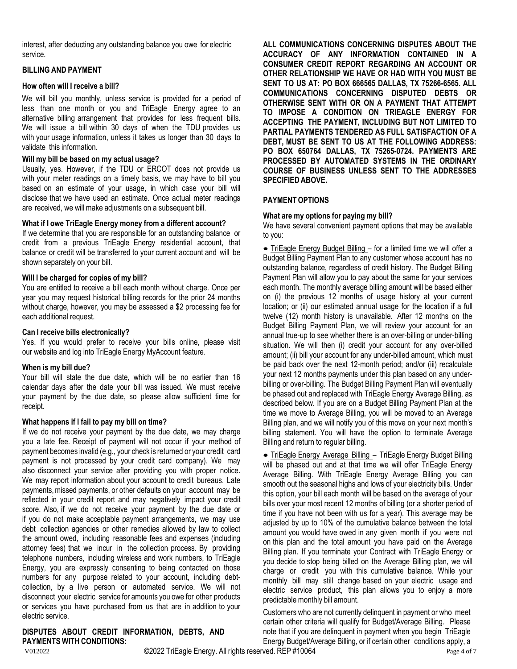interest, after deducting any outstanding balance you owe for electric service.

### **BILLING AND PAYMENT**

### **How often will I receive a bill?**

We will bill you monthly, unless service is provided for a period of less than one month or you and TriEagle Energy agree to an alternative billing arrangement that provides for less frequent bills. We will issue a bill within 30 days of when the TDU provides us with your usage information, unless it takes us longer than 30 days to validate this information.

### **Will my bill be based on my actual usage?**

Usually, yes. However, if the TDU or ERCOT does not provide us with your meter readings on a timely basis, we may have to bill you based on an estimate of your usage, in which case your bill will disclose that we have used an estimate. Once actual meter readings are received, we will make adjustments on a subsequent bill.

# **What if I owe TriEagle Energy money from a different account?**

If we determine that you are responsible for an outstanding balance or credit from a previous TriEagle Energy residential account, that balance or credit will be transferred to your current account and will be shown separately on your bill.

### **Will I be charged for copies of my bill?**

You are entitled to receive a bill each month without charge. Once per year you may request historical billing records for the prior 24 months without charge, however, you may be assessed a \$2 processing fee for each additional request.

#### **Can I receive bills electronically?**

Yes. If you would prefer to receive your bills online, please visit our website and log into TriEagle Energy MyAccount feature.

#### **When is my bill due?**

Your bill will state the due date, which will be no earlier than 16 calendar days after the date your bill was issued. We must receive your payment by the due date, so please allow sufficient time for receipt.

#### **What happens if I fail to pay my bill on time?**

If we do not receive your payment by the due date, we may charge you a late fee. Receipt of payment will not occur if your method of payment becomes invalid (e.g., your check is returned or your credit card payment is not processed by your credit card company). We may also disconnect your service after providing you with proper notice. We may report information about your account to credit bureaus. Late payments,missed payments, or other defaults on your account may be reflected in your credit report and may negatively impact your credit score. Also, if we do not receive your payment by the due date or if you do not make acceptable payment arrangements, we may use debt collection agencies or other remedies allowed by law to collect the amount owed, including reasonable fees and expenses (including attorney fees) that we incur in the collection process. By providing telephone numbers, including wireless and work numbers, to TriEagle Energy, you are expressly consenting to being contacted on those numbers for any purpose related to your account, including debtcollection, by a live person or automated service. We will not disconnect your electric service for amounts you owe for other products or services you have purchased from us that are in addition to your electric service.

# **DISPUTES ABOUT CREDIT INFORMATION, DEBTS, AND PAYMENTS WITH CONDITIONS:**

**ALL COMMUNICATIONS CONCERNING DISPUTES ABOUT THE ACCURACY OF ANY INFORMATION CONTAINED IN A CONSUMER CREDIT REPORT REGARDING AN ACCOUNT OR OTHER RELATIONSHIP WE HAVE OR HAD WITH YOU MUST BE SENT TO US AT: PO BOX 666565 DALLAS, TX 75266-6565. ALL COMMUNICATIONS CONCERNING DISPUTED DEBTS OR OTHERWISE SENT WITH OR ON A PAYMENT THAT ATTEMPT TO IMPOSE A CONDITION ON TRIEAGLE ENERGY FOR ACCEPTING THE PAYMENT, INCLUDING BUT NOT LIMITED TO PARTIAL PAYMENTS TENDERED AS FULL SATISFACTION OF A DEBT, MUST BE SENT TO US AT THE FOLLOWING ADDRESS: PO BOX 650764 DALLAS, TX 75265-0724. PAYMENTS ARE PROCESSED BY AUTOMATED SYSTEMS IN THE ORDINARY COURSE OF BUSINESS UNLESS SENT TO THE ADDRESSES SPECIFIED ABOVE.**

# **PAYMENTOPTIONS**

### **What are my options for paying my bill?**

We have several convenient payment options that may be available to you:

• TriEagle Energy Budget Billing – for a limited time we will offer a Budget Billing Payment Plan to any customer whose account has no outstanding balance, regardless of credit history. The Budget Billing Payment Plan will allow you to pay about the same for your services each month. The monthly average billing amount will be based either on (i) the previous 12 months of usage history at your current location; or (ii) our estimated annual usage for the location if a full twelve (12) month history is unavailable. After 12 months on the Budget Billing Payment Plan, we will review your account for an annual true-up to see whether there is an over-billing or under-billing situation. We will then (i) credit your account for any over-billed amount; (ii) bill your account for any under-billed amount, which must be paid back over the next 12-month period; and/or (iii) recalculate your next 12 months payments under this plan based on any underbilling or over-billing. The Budget Billing Payment Plan will eventually be phased out and replaced with TriEagle Energy Average Billing, as described below. If you are on a Budget Billing Payment Plan at the time we move to Average Billing, you will be moved to an Average Billing plan, and we will notify you of this move on your next month's billing statement. You will have the option to terminate Average Billing and return to regular billing.

• TriEagle Energy Average Billing *–* TriEagle Energy Budget Billing will be phased out and at that time we will offer TriEagle Energy Average Billing. With TriEagle Energy Average Billing you can smooth out the seasonal highs and lows of your electricity bills. Under this option, your bill each month will be based on the average of your bills over your most recent 12 months of billing (or a shorter period of time if you have not been with us for a year). This average may be adjusted by up to 10% of the cumulative balance between the total amount you would have owed in any given month if you were not on this plan and the total amount you have paid on the Average Billing plan. If you terminate your Contract with TriEagle Energy or you decide to stop being billed on the Average Billing plan, we will charge or credit you with this cumulative balance. While your monthly bill may still change based on your electric usage and electric service product, this plan allows you to enjoy a more predictable monthly bill amount.

Customers who are not currently delinquent in payment or who meet certain other criteria will qualify for Budget/Average Billing. Please note that if you are delinquent in payment when you begin TriEagle Energy Budget/Average Billing, or if certain other conditions apply, a

V012022 CONSERVED Energy. All rights reserved. REP #10064 Page 4 of 7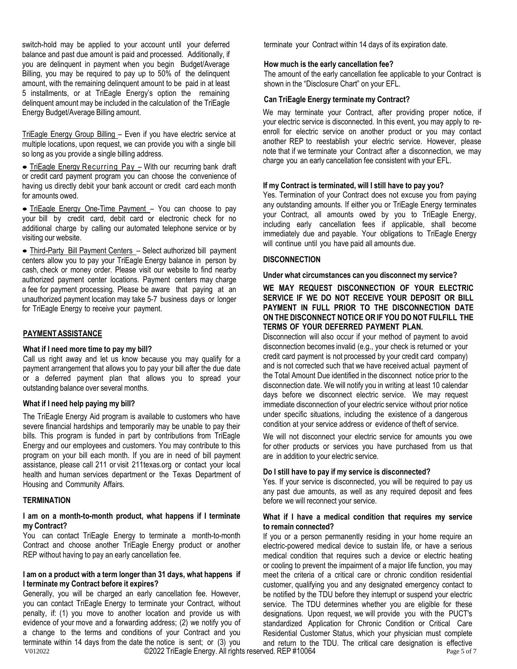switch-hold may be applied to your account until your deferred balance and past due amount is paid and processed. Additionally, if you are delinquent in payment when you begin Budget/Average Billing, you may be required to pay up to 50% of the delinquent amount, with the remaining delinquent amount to be paid in at least 5 installments, or at TriEagle Energy's option the remaining delinquent amount may be included in the calculation of the TriEagle Energy Budget/Average Billing amount.

TriEagle Energy Group Billing – Even if you have electric service at multiple locations, upon request, we can provide you with a single bill so long as you provide a single billing address.

• TriEagle Energy Recurring Pay – With our recurring bank draft or credit card payment program you can choose the convenience of having us directly debit your bank account or credit card each month for amounts owed.

• TriEagle Energy One-Time Payment - You can choose to pay your bill by credit card, debit card or electronic check for no additional charge by calling our automated telephone service or by visiting our website.

• Third-Party Bill Payment Centers - Select authorized bill payment centers allow you to pay your TriEagle Energy balance in person by cash, check or money order. Please visit our website to find nearby authorized payment center locations. Payment centers may charge a fee for payment processing. Please be aware that paying at an unauthorized payment location may take 5-7 business days or longer for TriEagle Energy to receive your payment.

# **PAYMENTASSISTANCE**

#### **What if I need more time to pay my bill?**

Call us right away and let us know because you may qualify for a payment arrangement that allows you to pay your bill after the due date or a deferred payment plan that allows you to spread your outstanding balance over several months.

# **What if I need help paying my bill?**

The TriEagle Energy Aid program is available to customers who have severe financial hardships and temporarily may be unable to pay their bills. This program is funded in part by contributions from TriEagle Energy and our employees and customers. You may contribute to this program on your bill each month. If you are in need of bill payment assistance, please call 211 or visit 211texas.org or contact your local health and human services department or the Texas Department of Housing and Community Affairs.

# **TERMINATION**

### **I am on a month-to-month product, what happens if I terminate my Contract?**

You can contact TriEagle Energy to terminate a month-to-month Contract and choose another TriEagle Energy product or another REP without having to pay an early cancellation fee.

### **I am on a product with a term longer than 31 days, what happens if I terminate my Contract before it expires?**

V012022 **Example 20022 TriEagle Energy. All rights reserved. REP #10064** Page 5 of 7 Generally, you will be charged an early cancellation fee. However, you can contact TriEagle Energy to terminate your Contract, without penalty, if: (1) you move to another location and provide us with evidence of your move and a forwarding address; (2) we notify you of a change to the terms and conditions of your Contract and you terminate within 14 days from the date the notice is sent; or (3) you

terminate your Contract within 14 days of its expiration date.

#### **How much is the early cancellation fee?**

The amount of the early cancellation fee applicable to your Contract is shown in the "Disclosure Chart" on your EFL.

### **Can TriEagle Energy terminate my Contract?**

We may terminate your Contract, after providing proper notice, if your electric service is disconnected. In this event, you may apply to reenroll for electric service on another product or you may contact another REP to reestablish your electric service. However, please note that if we terminate your Contract after a disconnection, we may charge you an early cancellation fee consistent with your EFL.

### **If my Contract is terminated, will I still have to pay you?**

Yes. Termination of your Contract does not excuse you from paying any outstanding amounts. If either you or TriEagle Energy terminates your Contract, all amounts owed by you to TriEagle Energy, including early cancellation fees if applicable, shall become immediately due and payable. Your obligations to TriEagle Energy will continue until you have paid all amounts due.

### **DISCONNECTION**

#### **Under what circumstances can you disconnect my service?**

# **WE MAY REQUEST DISCONNECTION OF YOUR ELECTRIC SERVICE IF WE DO NOT RECEIVE YOUR DEPOSIT OR BILL PAYMENT IN FULL PRIOR TO THE DISCONNECTION DATE ON THE DISCONNECT NOTICE OR IF YOU DO NOT FULFILL THE TERMS OF YOUR DEFERRED PAYMENT PLAN.**

Disconnection will also occur if your method of payment to avoid disconnection becomes invalid (e.g., your check is returned or your credit card payment is not processed by your credit card company) and is not corrected such that we have received actual payment of the Total Amount Due identified in the disconnect notice prior to the disconnection date. We will notify you in writing at least 10 calendar days before we disconnect electric service. We may request immediate disconnection of your electric service without prior notice under specific situations, including the existence of a dangerous condition at your service address or evidence of theft of service.

We will not disconnect your electric service for amounts you owe for other products or services you have purchased from us that are in addition to your electric service.

### **Do I still have to pay if my service is disconnected?**

Yes. If your service is disconnected, you will be required to pay us any past due amounts, as well as any required deposit and fees before we will reconnect your service.

### **What if I have a medical condition that requires my service to remain connected?**

If you or a person permanently residing in your home require an electric-powered medical device to sustain life, or have a serious medical condition that requires such a device or electric heating or cooling to prevent the impairment of a major life function, you may meet the criteria of a critical care or chronic condition residential customer, qualifying you and any designated emergency contact to be notified by the TDU before they interrupt or suspend your electric service. The TDU determines whether you are eligible for these designations. Upon request, we will provide you with the PUCT's standardized Application for Chronic Condition or Critical Care Residential Customer Status, which your physician must complete and return to the TDU. The critical care designation is effective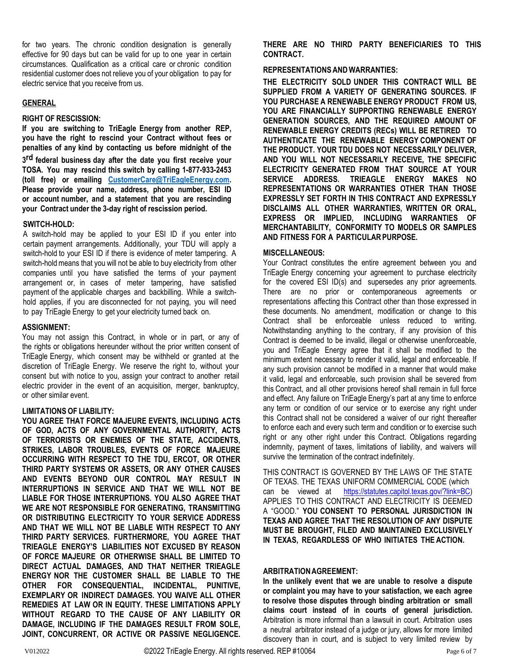for two years. The chronic condition designation is generally effective for 90 days but can be valid for up to one year in certain circumstances. Qualification as a critical care or chronic condition residential customer does not relieve you of your obligation to pay for electric service that you receive from us.

### **GENERAL**

#### **RIGHT OF RESCISSION:**

**If you are switching to TriEagle Energy from another REP, you have the right to rescind your Contract without fees or penalties of any kind by contacting us before midnight of the**

**3 rd federal business day after the date you first receive your TOSA. You may rescind this switch by calling 1-877-933-2453 (toll free) or emailing [CustomerCare@TriEagleEnergy.com.](mailto:CustomerCare@TriEagleEnergy.com) Please provide your name, address, phone number, ESI ID or account number, and a statement that you are rescinding your Contract under the 3-day right of rescission period.**

# **SWITCH-HOLD:**

A switch-hold may be applied to your ESI ID if you enter into certain payment arrangements. Additionally, your TDU will apply a switch-hold to your ESI ID if there is evidence of meter tampering. A switch-hold means that you will not be able to buy electricity from other companies until you have satisfied the terms of your payment arrangement or, in cases of meter tampering, have satisfied payment of the applicable charges and backbilling. While a switchhold applies, if you are disconnected for not paying, you will need to pay TriEagle Energy to get your electricity turned back on.

### **ASSIGNMENT:**

You may not assign this Contract, in whole or in part, or any of the rights or obligations hereunder without the prior written consent of TriEagle Energy, which consent may be withheld or granted at the discretion of TriEagle Energy. We reserve the right to, without your consent but with notice to you, assign your contract to another retail electric provider in the event of an acquisition, merger, bankruptcy, or other similar event.

#### **LIMITATIONS OF LIABILITY:**

**YOU AGREE THAT FORCE MAJEURE EVENTS, INCLUDING ACTS OF GOD, ACTS OF ANY GOVERNMENTAL AUTHORITY, ACTS OF TERRORISTS OR ENEMIES OF THE STATE, ACCIDENTS, STRIKES, LABOR TROUBLES, EVENTS OF FORCE MAJEURE OCCURRING WITH RESPECT TO THE TDU, ERCOT, OR OTHER THIRD PARTY SYSTEMS OR ASSETS, OR ANY OTHER CAUSES AND EVENTS BEYOND OUR CONTROL MAY RESULT IN INTERRUPTIONS IN SERVICE AND THAT WE WILL NOT BE LIABLE FOR THOSE INTERRUPTIONS. YOU ALSO AGREE THAT WE ARE NOT RESPONSIBLE FOR GENERATING, TRANSMITTING OR DISTRIBUTING ELECTRICITY TO YOUR SERVICE ADDRESS AND THAT WE WILL NOT BE LIABLE WITH RESPECT TO ANY THIRD PARTY SERVICES. FURTHERMORE, YOU AGREE THAT TRIEAGLE ENERGY'S LIABILITIES NOT EXCUSED BY REASON OF FORCE MAJEURE OR OTHERWISE SHALL BE LIMITED TO DIRECT ACTUAL DAMAGES, AND THAT NEITHER TRIEAGLE ENERGY NOR THE CUSTOMER SHALL BE LIABLE TO THE OTHER FOR CONSEQUENTIAL, INCIDENTAL, PUNITIVE, EXEMPLARY OR INDIRECT DAMAGES. YOU WAIVE ALL OTHER REMEDIES AT LAW OR IN EQUITY. THESE LIMITATIONS APPLY WITHOUT REGARD TO THE CAUSE OF ANY LIABILITY OR DAMAGE, INCLUDING IF THE DAMAGES RESULT FROM SOLE, JOINT, CONCURRENT, OR ACTIVE OR PASSIVE NEGLIGENCE.** **THERE ARE NO THIRD PARTY BENEFICIARIES TO THIS CONTRACT.**

# **REPRESENTATIONS AND WARRANTIES:**

**THE ELECTRICITY SOLD UNDER THIS CONTRACT WILL BE SUPPLIED FROM A VARIETY OF GENERATING SOURCES. IF YOU PURCHASE A RENEWABLE ENERGY PRODUCT FROM US, YOU ARE FINANCIALLY SUPPORTING RENEWABLE ENERGY GENERATION SOURCES, AND THE REQUIRED AMOUNT OF RENEWABLE ENERGY CREDITS (RECs) WILL BE RETIRED TO AUTHENTICATE THE RENEWABLE ENERGY COMPONENT OF THE PRODUCT. YOUR TDU DOES NOT NECESSARILY DELIVER, AND YOU WILL NOT NECESSARILY RECEIVE, THE SPECIFIC ELECTRICITY GENERATED FROM THAT SOURCE AT YOUR SERVICE ADDRESS. TRIEAGLE ENERGY MAKES NO REPRESENTATIONS OR WARRANTIES OTHER THAN THOSE EXPRESSLY SET FORTH IN THIS CONTRACT AND EXPRESSLY DISCLAIMS ALL OTHER WARRANTIES, WRITTEN OR ORAL, EXPRESS OR IMPLIED, INCLUDING WARRANTIES OF MERCHANTABILITY, CONFORMITY TO MODELS OR SAMPLES AND FITNESS FOR A PARTICULARPURPOSE.**

### **MISCELLANEOUS:**

Your Contract constitutes the entire agreement between you and TriEagle Energy concerning your agreement to purchase electricity for the covered ESI ID(s) and supersedes any prior agreements. There are no prior or contemporaneous agreements or representations affecting this Contract other than those expressed in these documents. No amendment, modification or change to this Contract shall be enforceable unless reduced to writing. Notwithstanding anything to the contrary, if any provision of this Contract is deemed to be invalid, illegal or otherwise unenforceable, you and TriEagle Energy agree that it shall be modified to the minimum extent necessary to render it valid, legal and enforceable. If any such provision cannot be modified in a manner that would make it valid, legal and enforceable, such provision shall be severed from this Contract, and all other provisions hereof shall remain in full force and effect. Any failure on TriEagle Energy's part at any time to enforce any term or condition of our service or to exercise any right under this Contract shall not be considered a waiver of our right thereafter to enforce each and every such term and condition or to exercise such right or any other right under this Contract. Obligations regarding indemnity, payment of taxes, limitations of liability, and waivers will survive the termination of the contract indefinitely.

THIS CONTRACT IS GOVERNED BY THE LAWS OF THE STATE OF TEXAS. THE TEXAS UNIFORM COMMERCIAL CODE (which can be viewed at [https://statutes.capitol.texas.gov/?link=BC\)](http://www.statutes.legis.state.tx.us/?link=BC)) APPLIES TO THIS CONTRACT AND ELECTRICITY IS DEEMED A "GOOD." **YOU CONSENT TO PERSONAL JURISDICTION IN TEXAS AND AGREE THAT THE RESOLUTION OF ANY DISPUTE MUST BE BROUGHT, FILED AND MAINTAINED EXCLUSIVELY IN TEXAS, REGARDLESS OF WHO INITIATES THE ACTION.**

# **ARBITRATIONAGREEMENT:**

**In the unlikely event that we are unable to resolve a dispute or complaint you may have to your satisfaction, we each agree to resolve those disputes through binding arbitration or small claims court instead of in courts of general jurisdiction.** Arbitration is more informal than a lawsuit in court. Arbitration uses a neutral arbitrator instead of a judge or jury, allows for more limited discovery than in court, and is subject to very limited review by